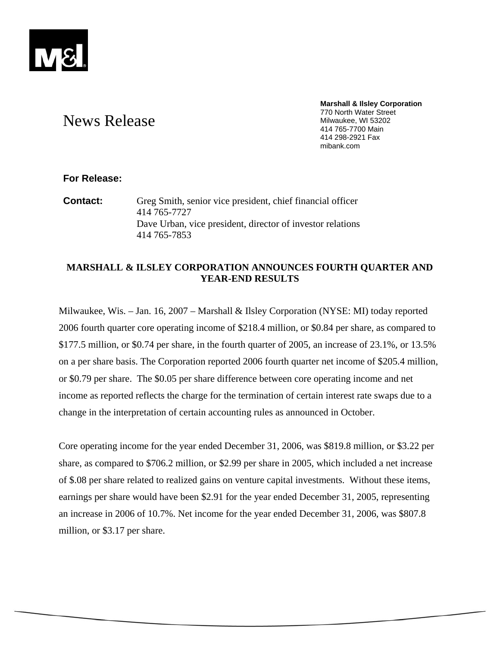

#### **Marshall & Ilsley Corporation**  770 North Water Street Milwaukee, WI 53202 414 765-7700 Main 414 298-2921 Fax mibank.com

# News Release

# **For Release:**

**Contact:** Greg Smith, senior vice president, chief financial officer 414 765-7727 Dave Urban, vice president, director of investor relations 414 765-7853

# **MARSHALL & ILSLEY CORPORATION ANNOUNCES FOURTH QUARTER AND YEAR-END RESULTS**

Milwaukee, Wis. – Jan. 16, 2007 – Marshall & Ilsley Corporation (NYSE: MI) today reported 2006 fourth quarter core operating income of \$218.4 million, or \$0.84 per share, as compared to \$177.5 million, or \$0.74 per share, in the fourth quarter of 2005, an increase of 23.1%, or 13.5% on a per share basis. The Corporation reported 2006 fourth quarter net income of \$205.4 million, or \$0.79 per share. The \$0.05 per share difference between core operating income and net income as reported reflects the charge for the termination of certain interest rate swaps due to a change in the interpretation of certain accounting rules as announced in October.

Core operating income for the year ended December 31, 2006, was \$819.8 million, or \$3.22 per share, as compared to \$706.2 million, or \$2.99 per share in 2005, which included a net increase of \$.08 per share related to realized gains on venture capital investments. Without these items, earnings per share would have been \$2.91 for the year ended December 31, 2005, representing an increase in 2006 of 10.7%. Net income for the year ended December 31, 2006, was \$807.8 million, or \$3.17 per share.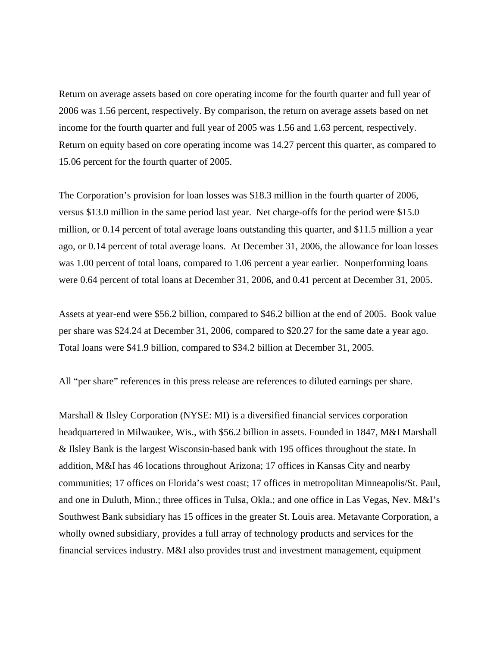Return on average assets based on core operating income for the fourth quarter and full year of 2006 was 1.56 percent, respectively. By comparison, the return on average assets based on net income for the fourth quarter and full year of 2005 was 1.56 and 1.63 percent, respectively. Return on equity based on core operating income was 14.27 percent this quarter, as compared to 15.06 percent for the fourth quarter of 2005.

The Corporation's provision for loan losses was \$18.3 million in the fourth quarter of 2006, versus \$13.0 million in the same period last year. Net charge-offs for the period were \$15.0 million, or 0.14 percent of total average loans outstanding this quarter, and \$11.5 million a year ago, or 0.14 percent of total average loans. At December 31, 2006, the allowance for loan losses was 1.00 percent of total loans, compared to 1.06 percent a year earlier. Nonperforming loans were 0.64 percent of total loans at December 31, 2006, and 0.41 percent at December 31, 2005.

Assets at year-end were \$56.2 billion, compared to \$46.2 billion at the end of 2005. Book value per share was \$24.24 at December 31, 2006, compared to \$20.27 for the same date a year ago. Total loans were \$41.9 billion, compared to \$34.2 billion at December 31, 2005.

All "per share" references in this press release are references to diluted earnings per share.

Marshall & Ilsley Corporation (NYSE: MI) is a diversified financial services corporation headquartered in Milwaukee, Wis., with \$56.2 billion in assets. Founded in 1847, M&I Marshall & Ilsley Bank is the largest Wisconsin-based bank with 195 offices throughout the state. In addition, M&I has 46 locations throughout Arizona; 17 offices in Kansas City and nearby communities; 17 offices on Florida's west coast; 17 offices in metropolitan Minneapolis/St. Paul, and one in Duluth, Minn.; three offices in Tulsa, Okla.; and one office in Las Vegas, Nev. M&I's Southwest Bank subsidiary has 15 offices in the greater St. Louis area. Metavante Corporation, a wholly owned subsidiary, provides a full array of technology products and services for the financial services industry. M&I also provides trust and investment management, equipment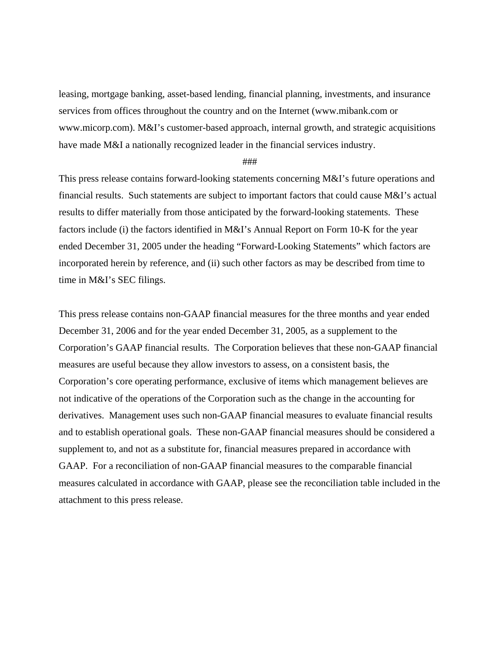leasing, mortgage banking, asset-based lending, financial planning, investments, and insurance services from offices throughout the country and on the Internet (www.mibank.com or www.micorp.com). M&I's customer-based approach, internal growth, and strategic acquisitions have made M&I a nationally recognized leader in the financial services industry.

## ###

This press release contains forward-looking statements concerning M&I's future operations and financial results. Such statements are subject to important factors that could cause M&I's actual results to differ materially from those anticipated by the forward-looking statements. These factors include (i) the factors identified in M&I's Annual Report on Form 10-K for the year ended December 31, 2005 under the heading "Forward-Looking Statements" which factors are incorporated herein by reference, and (ii) such other factors as may be described from time to time in M&I's SEC filings.

This press release contains non-GAAP financial measures for the three months and year ended December 31, 2006 and for the year ended December 31, 2005, as a supplement to the Corporation's GAAP financial results. The Corporation believes that these non-GAAP financial measures are useful because they allow investors to assess, on a consistent basis, the Corporation's core operating performance, exclusive of items which management believes are not indicative of the operations of the Corporation such as the change in the accounting for derivatives. Management uses such non-GAAP financial measures to evaluate financial results and to establish operational goals. These non-GAAP financial measures should be considered a supplement to, and not as a substitute for, financial measures prepared in accordance with GAAP. For a reconciliation of non-GAAP financial measures to the comparable financial measures calculated in accordance with GAAP, please see the reconciliation table included in the attachment to this press release.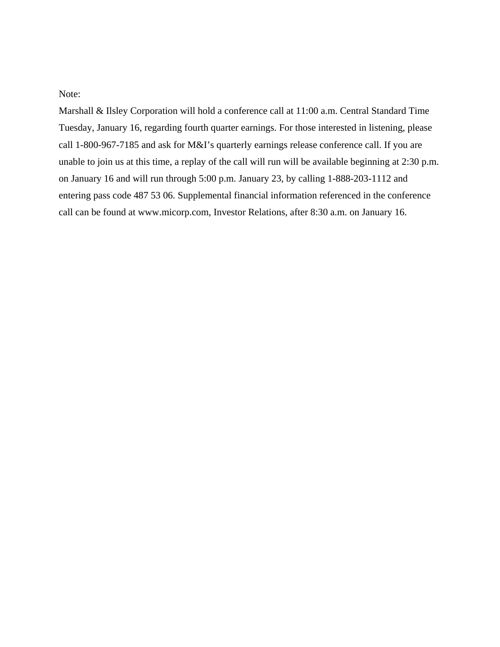Note:

Marshall & Ilsley Corporation will hold a conference call at 11:00 a.m. Central Standard Time Tuesday, January 16, regarding fourth quarter earnings. For those interested in listening, please call 1-800-967-7185 and ask for M&I's quarterly earnings release conference call. If you are unable to join us at this time, a replay of the call will run will be available beginning at 2:30 p.m. on January 16 and will run through 5:00 p.m. January 23, by calling 1-888-203-1112 and entering pass code 487 53 06. Supplemental financial information referenced in the conference call can be found at www.micorp.com, Investor Relations, after 8:30 a.m. on January 16.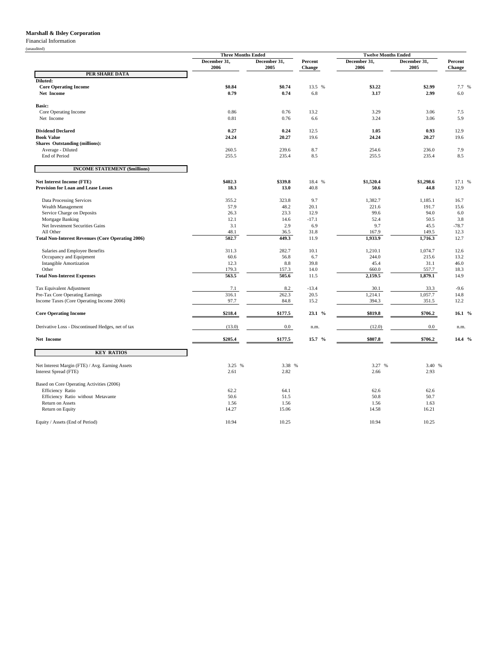## **Marshall & Ilsley Corporation**

Financial Information

(unaudited)

|                                                          | <b>Three Months Ended</b> |                |            | <b>Twelve Months Ended</b> |                |            |
|----------------------------------------------------------|---------------------------|----------------|------------|----------------------------|----------------|------------|
|                                                          | December 31,              | December 31,   | Percent    | December 31,               | December 31,   | Percent    |
|                                                          | 2006                      | 2005           | Change     | 2006                       | 2005           | Change     |
| PER SHARE DATA                                           |                           |                |            |                            |                |            |
| Diluted:                                                 |                           |                |            |                            |                |            |
| <b>Core Operating Income</b>                             | \$0.84                    | \$0.74         | 13.5 %     | \$3.22                     | \$2.99         | 7.7 %      |
| Net Income                                               | 0.79                      | 0.74           | 6.8        | 3.17                       | 2.99           | 6.0        |
| <b>Basic:</b>                                            |                           |                |            |                            |                |            |
| Core Operating Income                                    | 0.86                      | 0.76           | 13.2       | 3.29                       | 3.06           | 7.5        |
| Net Income                                               | 0.81                      | 0.76           | 6.6        | 3.24                       | 3.06           | 5.9        |
|                                                          |                           |                |            |                            |                |            |
| <b>Dividend Declared</b>                                 | 0.27                      | 0.24           | 12.5       | 1.05                       | 0.93           | 12.9       |
| <b>Book Value</b>                                        | 24.24                     | 20.27          | 19.6       | 24.24                      | 20.27          | 19.6       |
| <b>Shares Outstanding (millions):</b>                    |                           |                |            |                            |                |            |
| Average - Diluted<br>End of Period                       | 260.5<br>255.5            | 239.6<br>235.4 | 8.7<br>8.5 | 254.6<br>255.5             | 236.0<br>235.4 | 7.9<br>8.5 |
|                                                          |                           |                |            |                            |                |            |
| <b>INCOME STATEMENT (\$millions)</b>                     |                           |                |            |                            |                |            |
| <b>Net Interest Income (FTE)</b>                         | \$402.3                   | \$339.8        | 18.4 %     | \$1,520.4                  | \$1,298.6      | 17.1 %     |
| <b>Provision for Loan and Lease Losses</b>               | 18.3                      | 13.0           | 40.8       | 50.6                       | 44.8           | 12.9       |
|                                                          |                           |                |            |                            |                |            |
| Data Processing Services                                 | 355.2                     | 323.8          | 9.7        | 1,382.7                    | 1,185.1        | 16.7       |
| Wealth Management                                        | 57.9                      | 48.2           | 20.1       | 221.6                      | 191.7          | 15.6       |
| Service Charge on Deposits                               | 26.3                      | 23.3           | 12.9       | 99.6                       | 94.0           | $6.0\,$    |
| Mortgage Banking                                         | 12.1                      | 14.6           | $-17.1$    | 52.4                       | 50.5           | 3.8        |
| Net Investment Securities Gains                          | 3.1                       | 2.9            | 6.9        | 9.7                        | 45.5           | $-78.7$    |
| All Other                                                | 48.1                      | 36.5           | 31.8       | 167.9                      | 149.5          | 12.3       |
| <b>Total Non-Interest Revenues (Core Operating 2006)</b> | 502.7                     | 449.3          | 11.9       | 1,933.9                    | 1,716.3        | 12.7       |
| Salaries and Employee Benefits                           | 311.3                     | 282.7          | 10.1       | 1,210.1                    | 1,074.7        | 12.6       |
| Occupancy and Equipment                                  | 60.6                      | 56.8           | 6.7        | 244.0                      | 215.6          | 13.2       |
| <b>Intangible Amortization</b>                           | 12.3                      | 8.8            | 39.8       | 45.4                       | 31.1           | 46.0       |
| Other                                                    | 179.3                     | 157.3          | 14.0       | 660.0                      | 557.7          | 18.3       |
| <b>Total Non-Interest Expenses</b>                       | 563.5                     | 505.6          | 11.5       | 2,159.5                    | 1,879.1        | 14.9       |
| Tax Equivalent Adjustment                                | 7.1                       | 8.2            | $-13.4$    | 30.1                       | 33.3           | $-9.6$     |
| Pre-Tax Core Operating Earnings                          | 316.1                     | 262.3          | 20.5       | 1,214.1                    | 1,057.7        | 14.8       |
| Income Taxes (Core Operating Income 2006)                | 97.7                      | 84.8           | 15.2       | 394.3                      | 351.5          | 12.2       |
|                                                          |                           |                |            |                            |                |            |
| <b>Core Operating Income</b>                             | \$218.4                   | \$177.5        | 23.1 %     | \$819.8                    | \$706.2        | 16.1 %     |
| Derivative Loss - Discontinued Hedges, net of tax        | (13.0)                    | $0.0\,$        | n.m.       | (12.0)                     | $0.0\,$        | n.m.       |
| <b>Net Income</b>                                        | \$205.4                   | \$177.5        | 15.7%      | \$807.8                    | \$706.2        | $14.4\%$   |
| <b>KEY RATIOS</b>                                        |                           |                |            |                            |                |            |
|                                                          |                           |                |            |                            |                |            |
| Net Interest Margin (FTE) / Avg. Earning Assets          | 3.25 %                    | 3.38 %         |            | 3.27 %                     | 3.40 %         |            |
| Interest Spread (FTE)                                    | 2.61                      | 2.82           |            | 2.66                       | 2.93           |            |
| Based on Core Operating Activities (2006)                |                           |                |            |                            |                |            |
| Efficiency Ratio                                         | 62.2                      | 64.1           |            | 62.6                       | 62.6           |            |
| Efficiency Ratio without Metavante                       | 50.6                      | 51.5           |            | 50.8                       | 50.7           |            |
| Return on Assets                                         | 1.56                      | 1.56           |            | 1.56                       | 1.63           |            |
| Return on Equity                                         | 14.27                     | 15.06          |            | 14.58                      | 16.21          |            |
|                                                          |                           |                |            |                            |                |            |
| Equity / Assets (End of Period)                          | 10.94                     | 10.25          |            | 10.94                      | 10.25          |            |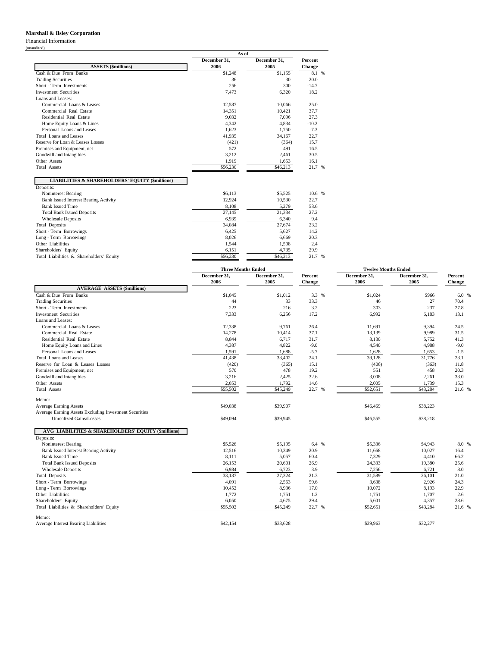# **Marshall & Ilsley Corporation**

Financial Information

(unaudited)

|                                                            | As of        |              |         |
|------------------------------------------------------------|--------------|--------------|---------|
|                                                            | December 31. | December 31. | Percent |
| <b>ASSETS</b> (\$millions)                                 | 2006         | 2005         | Change  |
| Cash & Due From Banks                                      | \$1,248      | \$1,155      | 8.1 %   |
| <b>Trading Securities</b>                                  | 36           | 30           | 20.0    |
| Short - Term Investments                                   | 256          | 300          | $-14.7$ |
| <b>Investment Securities</b>                               | 7,473        | 6,320        | 18.2    |
| Loans and Leases:                                          |              |              |         |
| Commercial Loans & Leases                                  | 12,587       | 10.066       | 25.0    |
| Commercial Real Estate                                     | 14.351       | 10,421       | 37.7    |
| Residential Real Estate                                    | 9.032        | 7,096        | 27.3    |
| Home Equity Loans & Lines                                  | 4.342        | 4.834        | $-10.2$ |
| Personal Loans and Leases                                  | 1,623        | 1,750        | $-7.3$  |
| Total Loans and Leases                                     | 41,935       | 34,167       | 22.7    |
| Reserve for Loan & Leases Losses                           | (421)        | (364)        | 15.7    |
| Premises and Equipment, net                                | 572          | 491          | 16.5    |
| Goodwill and Intangibles                                   | 3,212        | 2,461        | 30.5    |
| Other Assets                                               | 1.919        | 1.653        | 16.1    |
| <b>Total Assets</b>                                        | \$56,230     | \$46,213     | 21.7 %  |
| <b>LIABILITIES &amp; SHAREHOLDERS' EQUITY (\$millions)</b> |              |              |         |
| Deposits:                                                  |              |              |         |
| Noninterest Bearing                                        | \$6.113      | \$5,525      | 10.6 %  |
| <b>Bank Issued Interest Bearing Activity</b>               | 12.924       | 10.530       | 22.7    |
| <b>Bank Issued Time</b>                                    | 8,108        | 5,279        | 53.6    |
| <b>Total Bank Issued Deposits</b>                          | 27,145       | 21,334       | 27.2    |
| <b>Wholesale Deposits</b>                                  | 6,939        | 6,340        | 9.4     |
| <b>Total Deposits</b>                                      | 34,084       | 27,674       | 23.2    |
| Short - Term Borrowings                                    | 6.425        | 5.627        | 14.2    |
| Long - Term Borrowings                                     | 8.026        | 6.669        | 20.3    |
| Other Liabilities                                          | 1,544        | 1,508        | 2.4     |
| Shareholders' Equity                                       | 6,151        | 4,735        | 29.9    |
| Total Liabilities & Shareholders' Equity                   | \$56,230     | \$46,213     | 21.7 %  |

|                                                        | <b>Three Months Ended</b> |                      |                   | <b>Twelve Months Ended</b> |                      |                   |
|--------------------------------------------------------|---------------------------|----------------------|-------------------|----------------------------|----------------------|-------------------|
|                                                        | December 31,<br>2006      | December 31,<br>2005 | Percent<br>Change | December 31,<br>2006       | December 31,<br>2005 | Percent<br>Change |
| <b>AVERAGE ASSETS (\$millions)</b>                     |                           |                      |                   |                            |                      |                   |
| Cash & Due From Banks                                  | \$1,045                   | \$1,012              | 3.3 %             | \$1,024                    | \$966                | 6.0%              |
| <b>Trading Securities</b>                              | 44                        | 33                   | 33.3              | 46                         | 27                   | 70.4              |
| Short - Term Investments                               | 223                       | 216                  | 3.2               | 303                        | 237                  | 27.8              |
| <b>Investment Securities</b>                           | 7,333                     | 6,256                | 17.2              | 6,992                      | 6,183                | 13.1              |
| Loans and Leases:                                      |                           |                      |                   |                            |                      |                   |
| Commercial Loans & Leases                              | 12,338                    | 9.761                | 26.4              | 11.691                     | 9.394                | 24.5              |
| Commercial Real Estate                                 | 14,278                    | 10,414               | 37.1              | 13,139                     | 9,989                | 31.5              |
| Residential Real Estate                                | 8,844                     | 6,717                | 31.7              | 8,130                      | 5,752                | 41.3              |
| Home Equity Loans and Lines                            | 4,387                     | 4,822                | $-9.0$            | 4,540                      | 4,988                | $-9.0$            |
| Personal Loans and Leases                              | 1,591                     | 1,688                | $-5.7$            | 1,628                      | 1,653                | $-1.5$            |
| <b>Total Loans and Leases</b>                          | 41.438                    | 33,402               | 24.1              | 39.128                     | 31,776               | 23.1              |
| Reserve for Loan & Leases Losses                       | (420)                     | (365)                | 15.1              | (406)                      | (363)                | 11.8              |
| Premises and Equipment, net                            | 570                       | 478                  | 19.2              | 551                        | 458                  | 20.3              |
| Goodwill and Intangibles                               | 3,216                     | 2,425                | 32.6              | 3,008                      | 2,261                | 33.0              |
| Other Assets                                           | 2,053                     | 1,792                | 14.6              | 2,005                      | 1,739                | 15.3              |
| <b>Total Assets</b>                                    | \$55,502                  | \$45,249             | 22.7 %            | \$52,651                   | \$43,284             | 21.6 %            |
| Memo:                                                  |                           |                      |                   |                            |                      |                   |
| <b>Average Earning Assets</b>                          | \$49,038                  | \$39,907             |                   | \$46,469                   | \$38,223             |                   |
| Average Earning Assets Excluding Investment Securities |                           |                      |                   |                            |                      |                   |
| <b>Unrealized Gains/Losses</b>                         | \$49,094                  | \$39,945             |                   | \$46,555                   | \$38,218             |                   |
| AVG LIABILITIES & SHAREHOLDERS' EQUITY (\$millions)    |                           |                      |                   |                            |                      |                   |
| Deposits:                                              |                           |                      |                   |                            |                      |                   |
| Noninterest Bearing                                    | \$5,526                   | \$5,195              | 6.4 %             | \$5,336                    | \$4,943              | 8.0 %             |
| <b>Bank Issued Interest Bearing Activity</b>           | 12,516                    | 10,349               | 20.9              | 11.668                     | 10,027               | 16.4              |
| <b>Bank Issued Time</b>                                | 8,111                     | 5,057                | 60.4              | 7,329                      | 4,410                | 66.2              |
| <b>Total Bank Issued Deposits</b>                      | 26,153                    | 20,601               | 26.9              | 24,333                     | 19,380               | 25.6              |
| <b>Wholesale Deposits</b>                              | 6,984                     | 6,723                | 3.9               | 7,256                      | 6,721                | 8.0               |
| <b>Total Deposits</b>                                  | 33,137                    | 27,324               | 21.3              | 31,589                     | 26,101               | 21.0              |
| Short - Term Borrowings                                | 4,091                     | 2,563                | 59.6              | 3,638                      | 2,926                | 24.3              |
| Long - Term Borrowings                                 | 10,452                    | 8,936                | 17.0              | 10,072                     | 8,193                | 22.9              |
| Other Liabilities                                      | 1,772                     | 1,751                | 1.2               | 1,751                      | 1,707                | 2.6               |
| Shareholders' Equity                                   | 6,050                     | 4,675                | 29.4              | 5,601                      | 4,357                | 28.6              |
| Total Liabilities & Shareholders' Equity               | \$55,502                  | \$45,249             | 22.7 %            | \$52,651                   | \$43,284             | 21.6 %            |
| Memo:                                                  |                           |                      |                   |                            |                      |                   |
| Average Interest Bearing Liabilities                   | \$42,154                  | \$33,628             |                   | \$39,963                   | \$32,277             |                   |